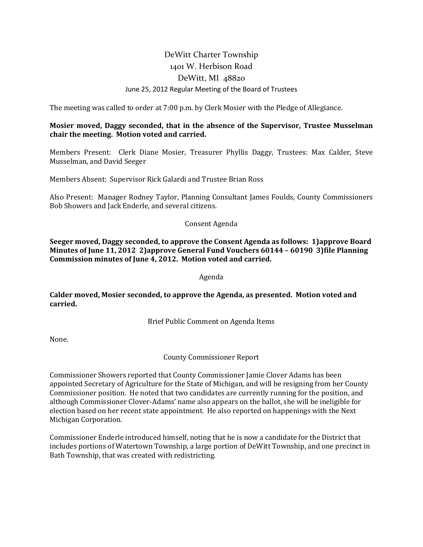# DeWitt Charter Township 1401 W. Herbison Road DeWitt, MI 48820 June 25, 2012 Regular Meeting of the Board of Trustees

The meeting was called to order at 7:00 p.m. by Clerk Mosier with the Pledge of Allegiance.

# Mosier moved, Daggy seconded, that in the absence of the Supervisor, Trustee Musselman chair the meeting. Motion voted and carried.

Members Present: Clerk Diane Mosier, Treasurer Phyllis Daggy, Trustees: Max Calder, Steve Musselman, and David Seeger

Members Absent: Supervisor Rick Galardi and Trustee Brian Ross

Also Present: Manager Rodney Taylor, Planning Consultant James Foulds, County Commissioners Bob Showers and Jack Enderle, and several citizens.

## Consent Agenda

Seeger moved, Daggy seconded, to approve the Consent Agenda as follows: 1)approve Board Minutes of June 11, 2012 2)approve General Fund Vouchers 60144 – 60190 3)file Planning Commission minutes of June 4, 2012. Motion voted and carried.

Agenda

Calder moved, Mosier seconded, to approve the Agenda, as presented. Motion voted and carried.

Brief Public Comment on Agenda Items

None.

County Commissioner Report

Commissioner Showers reported that County Commissioner Jamie Clover Adams has been appointed Secretary of Agriculture for the State of Michigan, and will be resigning from her County Commissioner position. He noted that two candidates are currently running for the position, and although Commissioner Clover-Adams' name also appears on the ballot, she will be ineligible for election based on her recent state appointment. He also reported on happenings with the Next Michigan Corporation.

Commissioner Enderle introduced himself, noting that he is now a candidate for the District that includes portions of Watertown Township, a large portion of DeWitt Township, and one precinct in Bath Township, that was created with redistricting.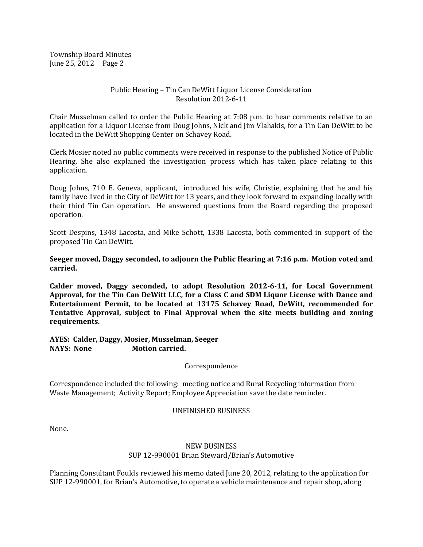#### Public Hearing – Tin Can DeWitt Liquor License Consideration Resolution 2012-6-11

Chair Musselman called to order the Public Hearing at 7:08 p.m. to hear comments relative to an application for a Liquor License from Doug Johns, Nick and Jim Vlahakis, for a Tin Can DeWitt to be located in the DeWitt Shopping Center on Schavey Road.

Clerk Mosier noted no public comments were received in response to the published Notice of Public Hearing. She also explained the investigation process which has taken place relating to this application.

Doug Johns, 710 E. Geneva, applicant, introduced his wife, Christie, explaining that he and his family have lived in the City of DeWitt for 13 years, and they look forward to expanding locally with their third Tin Can operation. He answered questions from the Board regarding the proposed operation.

Scott Despins, 1348 Lacosta, and Mike Schott, 1338 Lacosta, both commented in support of the proposed Tin Can DeWitt.

Seeger moved, Daggy seconded, to adjourn the Public Hearing at 7:16 p.m. Motion voted and carried.

Calder moved, Daggy seconded, to adopt Resolution 2012-6-11, for Local Government Approval, for the Tin Can DeWitt LLC, for a Class C and SDM Liquor License with Dance and Entertainment Permit, to be located at 13175 Schavey Road, DeWitt, recommended for Tentative Approval, subject to Final Approval when the site meets building and zoning requirements.

AYES: Calder, Daggy, Mosier, Musselman, Seeger NAYS: None Motion carried.

Correspondence

Correspondence included the following: meeting notice and Rural Recycling information from Waste Management; Activity Report; Employee Appreciation save the date reminder.

#### UNFINISHED BUSINESS

None.

## NEW BUSINESS SUP 12-990001 Brian Steward/Brian's Automotive

Planning Consultant Foulds reviewed his memo dated June 20, 2012, relating to the application for SUP 12-990001, for Brian's Automotive, to operate a vehicle maintenance and repair shop, along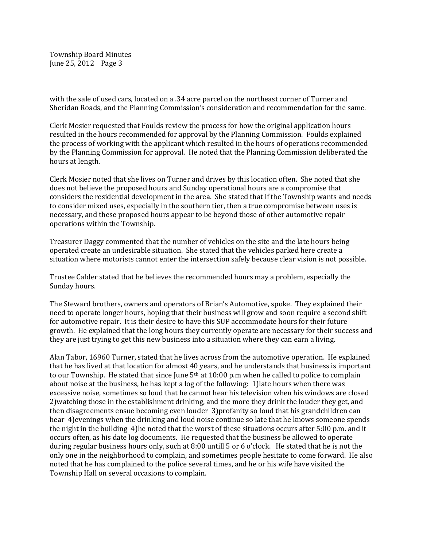with the sale of used cars, located on a .34 acre parcel on the northeast corner of Turner and Sheridan Roads, and the Planning Commission's consideration and recommendation for the same.

Clerk Mosier requested that Foulds review the process for how the original application hours resulted in the hours recommended for approval by the Planning Commission. Foulds explained the process of working with the applicant which resulted in the hours of operations recommended by the Planning Commission for approval. He noted that the Planning Commission deliberated the hours at length.

Clerk Mosier noted that she lives on Turner and drives by this location often. She noted that she does not believe the proposed hours and Sunday operational hours are a compromise that considers the residential development in the area. She stated that if the Township wants and needs to consider mixed uses, especially in the southern tier, then a true compromise between uses is necessary, and these proposed hours appear to be beyond those of other automotive repair operations within the Township.

Treasurer Daggy commented that the number of vehicles on the site and the late hours being operated create an undesirable situation. She stated that the vehicles parked here create a situation where motorists cannot enter the intersection safely because clear vision is not possible.

Trustee Calder stated that he believes the recommended hours may a problem, especially the Sunday hours.

The Steward brothers, owners and operators of Brian's Automotive, spoke. They explained their need to operate longer hours, hoping that their business will grow and soon require a second shift for automotive repair. It is their desire to have this SUP accommodate hours for their future growth. He explained that the long hours they currently operate are necessary for their success and they are just trying to get this new business into a situation where they can earn a living.

Alan Tabor, 16960 Turner, stated that he lives across from the automotive operation. He explained that he has lived at that location for almost 40 years, and he understands that business is important to our Township. He stated that since June  $5<sup>th</sup>$  at 10:00 p.m when he called to police to complain about noise at the business, he has kept a log of the following: 1)late hours when there was excessive noise, sometimes so loud that he cannot hear his television when his windows are closed 2)watching those in the establishment drinking, and the more they drink the louder they get, and then disagreements ensue becoming even louder 3)profanity so loud that his grandchildren can hear 4)evenings when the drinking and loud noise continue so late that he knows someone spends the night in the building 4)he noted that the worst of these situations occurs after 5:00 p.m. and it occurs often, as his date log documents. He requested that the business be allowed to operate during regular business hours only, such at 8:00 untill 5 or 6 o'clock. He stated that he is not the only one in the neighborhood to complain, and sometimes people hesitate to come forward. He also noted that he has complained to the police several times, and he or his wife have visited the Township Hall on several occasions to complain.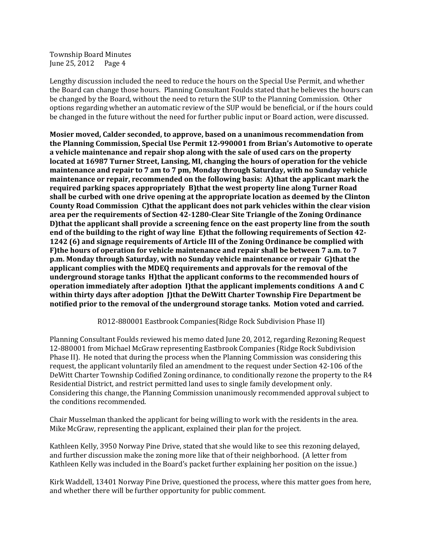Lengthy discussion included the need to reduce the hours on the Special Use Permit, and whether the Board can change those hours. Planning Consultant Foulds stated that he believes the hours can be changed by the Board, without the need to return the SUP to the Planning Commission. Other options regarding whether an automatic review of the SUP would be beneficial, or if the hours could be changed in the future without the need for further public input or Board action, were discussed.

Mosier moved, Calder seconded, to approve, based on a unanimous recommendation from the Planning Commission, Special Use Permit 12-990001 from Brian's Automotive to operate a vehicle maintenance and repair shop along with the sale of used cars on the property located at 16987 Turner Street, Lansing, MI, changing the hours of operation for the vehicle maintenance and repair to 7 am to 7 pm, Monday through Saturday, with no Sunday vehicle maintenance or repair, recommended on the following basis: A)that the applicant mark the required parking spaces appropriately B)that the west property line along Turner Road shall be curbed with one drive opening at the appropriate location as deemed by the Clinton County Road Commission C)that the applicant does not park vehicles within the clear vision area per the requirements of Section 42-1280-Clear Site Triangle of the Zoning Ordinance D)that the applicant shall provide a screening fence on the east property line from the south end of the building to the right of way line E)that the following requirements of Section 42- 1242 (6) and signage requirements of Article III of the Zoning Ordinance be complied with F)the hours of operation for vehicle maintenance and repair shall be between 7 a.m. to 7 p.m. Monday through Saturday, with no Sunday vehicle maintenance or repair G)that the applicant complies with the MDEQ requirements and approvals for the removal of the underground storage tanks H)that the applicant conforms to the recommended hours of operation immediately after adoption I)that the applicant implements conditions A and C within thirty days after adoption I that the DeWitt Charter Township Fire Department be notified prior to the removal of the underground storage tanks. Motion voted and carried.

RO12-880001 Eastbrook Companies(Ridge Rock Subdivision Phase II)

Planning Consultant Foulds reviewed his memo dated June 20, 2012, regarding Rezoning Request 12-880001 from Michael McGraw representing Eastbrook Companies (Ridge Rock Subdivision Phase II). He noted that during the process when the Planning Commission was considering this request, the applicant voluntarily filed an amendment to the request under Section 42-106 of the DeWitt Charter Township Codified Zoning ordinance, to conditionally rezone the property to the R4 Residential District, and restrict permitted land uses to single family development only. Considering this change, the Planning Commission unanimously recommended approval subject to the conditions recommended.

Chair Musselman thanked the applicant for being willing to work with the residents in the area. Mike McGraw, representing the applicant, explained their plan for the project.

Kathleen Kelly, 3950 Norway Pine Drive, stated that she would like to see this rezoning delayed, and further discussion make the zoning more like that of their neighborhood. (A letter from Kathleen Kelly was included in the Board's packet further explaining her position on the issue.)

Kirk Waddell, 13401 Norway Pine Drive, questioned the process, where this matter goes from here, and whether there will be further opportunity for public comment.